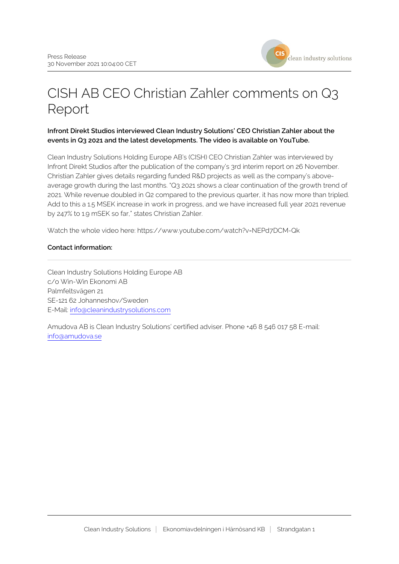

# CISH AB CEO Christian Zahler comments on Q3 Report

## **Infront Direkt Studios interviewed Clean Industry Solutions' CEO Christian Zahler about the events in Q3 2021 and the latest developments. The video is available on YouTube.**

Clean Industry Solutions Holding Europe AB's (CISH) CEO Christian Zahler was interviewed by Infront Direkt Studios after the publication of the company's 3rd interim report on 26 November. Christian Zahler gives details regarding funded R&D projects as well as the company's aboveaverage growth during the last months. "Q3 2021 shows a clear continuation of the growth trend of 2021. While revenue doubled in Q2 compared to the previous quarter, it has now more than tripled. Add to this a 1.5 MSEK increase in work in progress, and we have increased full year 2021 revenue by 247% to 1.9 mSEK so far," states Christian Zahler.

Watch the whole video here: https://www.youtube.com/watch?v=NEPd7DCM-Qk

## **Contact information:**

Clean Industry Solutions Holding Europe AB c/o Win-Win Ekonomi AB Palmfeltsvägen 21 SE-121 62 Johanneshov/Sweden E-Mail: [info@cleanindustrysolutions.com](mailto:info@cleanindustrysolutions.com)

Amudova AB is Clean Industry Solutions' certified adviser. Phone +46 8 546 017 58 E-mail: [info@amudova.se](mailto:info@amudova.se)